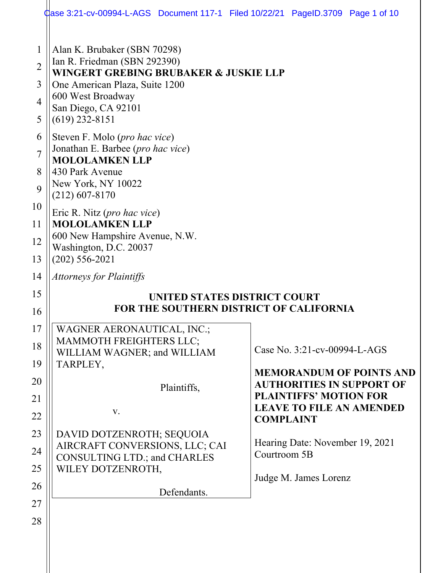|                                                          | dase 3:21-cv-00994-L-AGS Document 117-1 Filed 10/22/21 PageID.3709 Page 1 of 10                                                                                                                                                                                 |                                                                                                                                                                                                                                                                         |
|----------------------------------------------------------|-----------------------------------------------------------------------------------------------------------------------------------------------------------------------------------------------------------------------------------------------------------------|-------------------------------------------------------------------------------------------------------------------------------------------------------------------------------------------------------------------------------------------------------------------------|
| 1<br>$\overline{2}$<br>3<br>$\overline{4}$<br>5          | Alan K. Brubaker (SBN 70298)<br>Ian R. Friedman (SBN 292390)<br>WINGERT GREBING BRUBAKER & JUSKIE LLP<br>One American Plaza, Suite 1200<br>600 West Broadway<br>San Diego, CA 92101<br>$(619)$ 232-8151                                                         |                                                                                                                                                                                                                                                                         |
| 6<br>$\overline{7}$<br>8<br>9                            | Steven F. Molo (pro hac vice)<br>Jonathan E. Barbee (pro hac vice)<br><b>MOLOLAMKEN LLP</b><br>430 Park Avenue<br>New York, NY 10022<br>$(212)$ 607-8170                                                                                                        |                                                                                                                                                                                                                                                                         |
| 10<br>11<br>12<br>13                                     | Eric R. Nitz (pro hac vice)<br><b>MOLOLAMKEN LLP</b><br>600 New Hampshire Avenue, N.W.<br>Washington, D.C. 20037<br>$(202) 556 - 2021$                                                                                                                          |                                                                                                                                                                                                                                                                         |
| 14                                                       | <b>Attorneys for Plaintiffs</b>                                                                                                                                                                                                                                 |                                                                                                                                                                                                                                                                         |
| 15<br>16                                                 |                                                                                                                                                                                                                                                                 | UNITED STATES DISTRICT COURT<br><b>FOR THE SOUTHERN DISTRICT OF CALIFORNIA</b>                                                                                                                                                                                          |
| 17<br>18<br>19<br>20<br>21<br>22<br>23<br>24<br>25<br>26 | WAGNER AERONAUTICAL, INC.;<br>MAMMOTH FREIGHTERS LLC;<br>WILLIAM WAGNER; and WILLIAM<br>TARPLEY,<br>Plaintiffs,<br>V.<br>DAVID DOTZENROTH; SEQUOIA<br>AIRCRAFT CONVERSIONS, LLC; CAI<br><b>CONSULTING LTD.; and CHARLES</b><br>WILEY DOTZENROTH,<br>Defendants. | Case No. 3:21-cv-00994-L-AGS<br><b>MEMORANDUM OF POINTS AND</b><br><b>AUTHORITIES IN SUPPORT OF</b><br><b>PLAINTIFFS' MOTION FOR</b><br><b>LEAVE TO FILE AN AMENDED</b><br><b>COMPLAINT</b><br>Hearing Date: November 19, 2021<br>Courtroom 5B<br>Judge M. James Lorenz |
| 27<br>28                                                 |                                                                                                                                                                                                                                                                 |                                                                                                                                                                                                                                                                         |
|                                                          |                                                                                                                                                                                                                                                                 |                                                                                                                                                                                                                                                                         |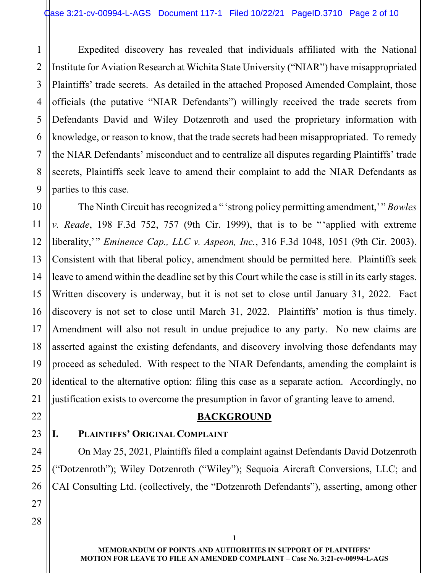1 2 3 4 5 6 7 8 9 Expedited discovery has revealed that individuals affiliated with the National Institute for Aviation Research at Wichita State University ("NIAR") have misappropriated Plaintiffs' trade secrets. As detailed in the attached Proposed Amended Complaint, those officials (the putative "NIAR Defendants") willingly received the trade secrets from Defendants David and Wiley Dotzenroth and used the proprietary information with knowledge, or reason to know, that the trade secrets had been misappropriated. To remedy the NIAR Defendants' misconduct and to centralize all disputes regarding Plaintiffs' trade secrets, Plaintiffs seek leave to amend their complaint to add the NIAR Defendants as parties to this case.

 The Ninth Circuit has recognized a "'strong policy permitting amendment,'" *Bowles v. Reade*, 198 F.3d 752, 757 (9th Cir. 1999), that is to be "'applied with extreme liberality,'" *Eminence Cap., LLC v. Aspeon, Inc.*, 316 F.3d 1048, 1051 (9th Cir. 2003). Consistent with that liberal policy, amendment should be permitted here. Plaintiffs seek leave to amend within the deadline set by this Court while the case is still in its early stages. Written discovery is underway, but it is not set to close until January 31, 2022. Fact discovery is not set to close until March 31, 2022. Plaintiffs' motion is thus timely. Amendment will also not result in undue prejudice to any party. No new claims are asserted against the existing defendants, and discovery involving those defendants may proceed as scheduled. With respect to the NIAR Defendants, amending the complaint is identical to the alternative option: filing this case as a separate action. Accordingly, no justification exists to overcome the presumption in favor of granting leave to amend.

# **BACKGROUND**

# **I. PLAINTIFFS' ORIGINAL COMPLAINT**

On May 25, 2021, Plaintiffs filed a complaint against Defendants David Dotzenroth ("Dotzenroth"); Wiley Dotzenroth ("Wiley"); Sequoia Aircraft Conversions, LLC; and CAI Consulting Ltd. (collectively, the "Dotzenroth Defendants"), asserting, among other

10

11

12

13

14

15

16

17

18

19

20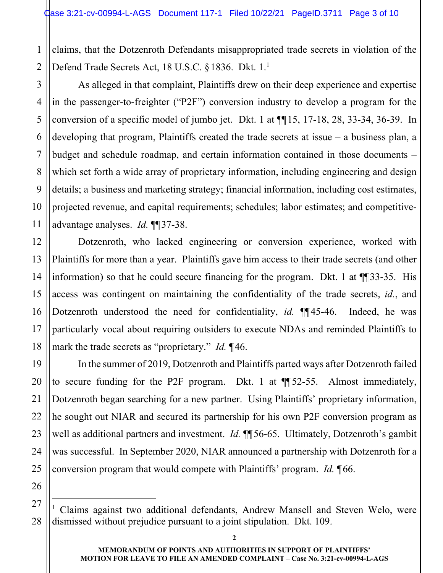2 claims, that the Dotzenroth Defendants misappropriated trade secrets in violation of the Defend Trade Secrets Act, 18 U.S.C. § 1836. Dkt.  $1.^1$ 

As alleged in that complaint, Plaintiffs drew on their deep experience and expertise in the passenger-to-freighter ("P2F") conversion industry to develop a program for the conversion of a specific model of jumbo jet. Dkt. 1 at ¶¶15, 17-18, 28, 33-34, 36-39. In developing that program, Plaintiffs created the trade secrets at issue – a business plan, a budget and schedule roadmap, and certain information contained in those documents – which set forth a wide array of proprietary information, including engineering and design details; a business and marketing strategy; financial information, including cost estimates, projected revenue, and capital requirements; schedules; labor estimates; and competitiveadvantage analyses. *Id.* ¶¶37-38.

Dotzenroth, who lacked engineering or conversion experience, worked with Plaintiffs for more than a year. Plaintiffs gave him access to their trade secrets (and other information) so that he could secure financing for the program. Dkt. 1 at ¶¶33-35. His access was contingent on maintaining the confidentiality of the trade secrets, *id.*, and Dotzenroth understood the need for confidentiality, *id.* ¶¶45-46. Indeed, he was particularly vocal about requiring outsiders to execute NDAs and reminded Plaintiffs to mark the trade secrets as "proprietary." *Id.* ¶46.

In the summer of 2019, Dotzenroth and Plaintiffs parted ways after Dotzenroth failed to secure funding for the P2F program. Dkt. 1 at ¶¶52-55. Almost immediately, Dotzenroth began searching for a new partner. Using Plaintiffs' proprietary information, he sought out NIAR and secured its partnership for his own P2F conversion program as well as additional partners and investment. *Id.* **[16** 56-65. Ultimately, Dotzenroth's gambit was successful. In September 2020, NIAR announced a partnership with Dotzenroth for a conversion program that would compete with Plaintiffs' program. *Id.* ¶66.

1

3

4

5

6

7

8

9

<sup>1</sup> Claims against two additional defendants, Andrew Mansell and Steven Welo, were dismissed without prejudice pursuant to a joint stipulation. Dkt. 109.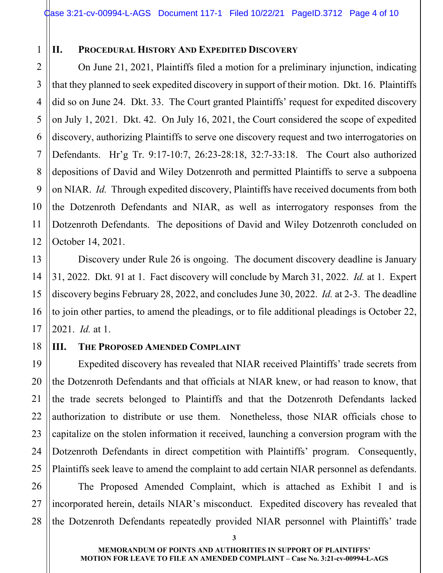#### **II. PROCEDURAL HISTORY AND EXPEDITED DISCOVERY**

3 4 6 On June 21, 2021, Plaintiffs filed a motion for a preliminary injunction, indicating that they planned to seek expedited discovery in support of their motion. Dkt. 16. Plaintiffs did so on June 24. Dkt. 33. The Court granted Plaintiffs' request for expedited discovery on July 1, 2021. Dkt. 42. On July 16, 2021, the Court considered the scope of expedited discovery, authorizing Plaintiffs to serve one discovery request and two interrogatories on Defendants. Hr'g Tr. 9:17-10:7, 26:23-28:18, 32:7-33:18. The Court also authorized depositions of David and Wiley Dotzenroth and permitted Plaintiffs to serve a subpoena on NIAR. *Id.* Through expedited discovery, Plaintiffs have received documents from both the Dotzenroth Defendants and NIAR, as well as interrogatory responses from the Dotzenroth Defendants. The depositions of David and Wiley Dotzenroth concluded on October 14, 2021.

Discovery under Rule 26 is ongoing. The document discovery deadline is January 31, 2022. Dkt. 91 at 1. Fact discovery will conclude by March 31, 2022. *Id.* at 1. Expert discovery begins February 28, 2022, and concludes June 30, 2022. *Id.* at 2-3. The deadline to join other parties, to amend the pleadings, or to file additional pleadings is October 22, 2021. *Id.* at 1.

## **III. THE PROPOSED AMENDED COMPLAINT**

Expedited discovery has revealed that NIAR received Plaintiffs' trade secrets from the Dotzenroth Defendants and that officials at NIAR knew, or had reason to know, that the trade secrets belonged to Plaintiffs and that the Dotzenroth Defendants lacked authorization to distribute or use them. Nonetheless, those NIAR officials chose to capitalize on the stolen information it received, launching a conversion program with the Dotzenroth Defendants in direct competition with Plaintiffs' program. Consequently, Plaintiffs seek leave to amend the complaint to add certain NIAR personnel as defendants.

The Proposed Amended Complaint, which is attached as Exhibit 1 and is incorporated herein, details NIAR's misconduct. Expedited discovery has revealed that the Dotzenroth Defendants repeatedly provided NIAR personnel with Plaintiffs' trade

1

2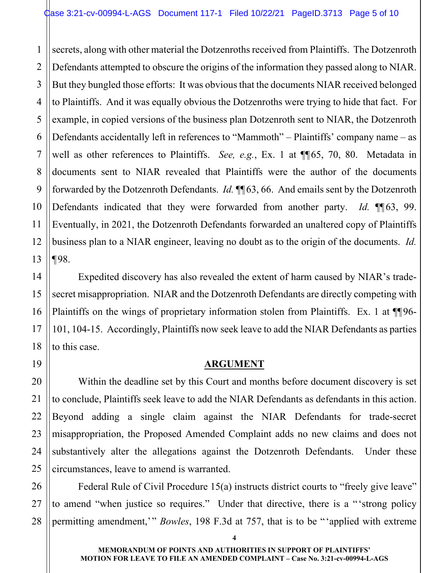1 2 secrets, along with other material the Dotzenroths received from Plaintiffs. The Dotzenroth Defendants attempted to obscure the origins of the information they passed along to NIAR. But they bungled those efforts: It was obvious that the documents NIAR received belonged to Plaintiffs. And it was equally obvious the Dotzenroths were trying to hide that fact. For example, in copied versions of the business plan Dotzenroth sent to NIAR, the Dotzenroth Defendants accidentally left in references to "Mammoth" – Plaintiffs' company name – as well as other references to Plaintiffs. *See, e.g.*, Ex. 1 at ¶¶65, 70, 80. Metadata in documents sent to NIAR revealed that Plaintiffs were the author of the documents forwarded by the Dotzenroth Defendants. *Id.* ¶¶63, 66. And emails sent by the Dotzenroth Defendants indicated that they were forwarded from another party. *Id.* ¶¶63, 99. Eventually, in 2021, the Dotzenroth Defendants forwarded an unaltered copy of Plaintiffs business plan to a NIAR engineer, leaving no doubt as to the origin of the documents. *Id.* ¶98.

Expedited discovery has also revealed the extent of harm caused by NIAR's tradesecret misappropriation. NIAR and the Dotzenroth Defendants are directly competing with Plaintiffs on the wings of proprietary information stolen from Plaintiffs. Ex. 1 at  $\P$ [96-101, 104-15. Accordingly, Plaintiffs now seek leave to add the NIAR Defendants as parties to this case.

### **ARGUMENT**

 Within the deadline set by this Court and months before document discovery is set to conclude, Plaintiffs seek leave to add the NIAR Defendants as defendants in this action. Beyond adding a single claim against the NIAR Defendants for trade-secret misappropriation, the Proposed Amended Complaint adds no new claims and does not substantively alter the allegations against the Dotzenroth Defendants. Under these circumstances, leave to amend is warranted.

 Federal Rule of Civil Procedure 15(a) instructs district courts to "freely give leave" to amend "when justice so requires." Under that directive, there is a "'strong policy permitting amendment,'" *Bowles*, 198 F.3d at 757, that is to be "'applied with extreme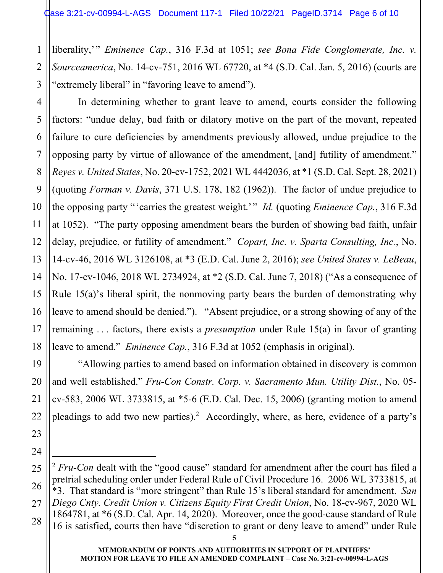liberality,'" *Eminence Cap.*, 316 F.3d at 1051; *see Bona Fide Conglomerate, Inc. v. Sourceamerica*, No. 14-cv-751, 2016 WL 67720, at \*4 (S.D. Cal. Jan. 5, 2016) (courts are "extremely liberal" in "favoring leave to amend").

 In determining whether to grant leave to amend, courts consider the following factors: "undue delay, bad faith or dilatory motive on the part of the movant, repeated failure to cure deficiencies by amendments previously allowed, undue prejudice to the opposing party by virtue of allowance of the amendment, [and] futility of amendment." *Reyes v. United States*, No. 20-cv-1752, 2021 WL 4442036, at \*1 (S.D. Cal. Sept. 28, 2021) (quoting *Forman v. Davis*, 371 U.S. 178, 182 (1962)). The factor of undue prejudice to the opposing party "'carries the greatest weight.'" *Id.* (quoting *Eminence Cap.*, 316 F.3d at 1052). "The party opposing amendment bears the burden of showing bad faith, unfair delay, prejudice, or futility of amendment." *Copart, Inc. v. Sparta Consulting, Inc.*, No. 14-cv-46, 2016 WL 3126108, at \*3 (E.D. Cal. June 2, 2016); *see United States v. LeBeau*, No. 17-cv-1046, 2018 WL 2734924, at \*2 (S.D. Cal. June 7, 2018) ("As a consequence of Rule 15(a)'s liberal spirit, the nonmoving party bears the burden of demonstrating why leave to amend should be denied."). "Absent prejudice, or a strong showing of any of the remaining . . . factors, there exists a *presumption* under Rule 15(a) in favor of granting leave to amend." *Eminence Cap.*, 316 F.3d at 1052 (emphasis in original).

 "Allowing parties to amend based on information obtained in discovery is common and well established." *Fru-Con Constr. Corp. v. Sacramento Mun. Utility Dist.*, No. 05 cv-583, 2006 WL 3733815, at \*5-6 (E.D. Cal. Dec. 15, 2006) (granting motion to amend pleadings to add two new parties).<sup>2</sup> Accordingly, where, as here, evidence of a party's

<sup>&</sup>lt;sup>2</sup> *Fru-Con* dealt with the "good cause" standard for amendment after the court has filed a pretrial scheduling order under Federal Rule of Civil Procedure 16. 2006 WL 3733815, at \*3. That standard is "more stringent" than Rule 15's liberal standard for amendment. *San Diego Cnty. Credit Union v. Citizens Equity First Credit Union*, No. 18-cv-967, 2020 WL 1864781, at \*6 (S.D. Cal. Apr. 14, 2020). Moreover, once the good-cause standard of Rule 16 is satisfied, courts then have "discretion to grant or deny leave to amend" under Rule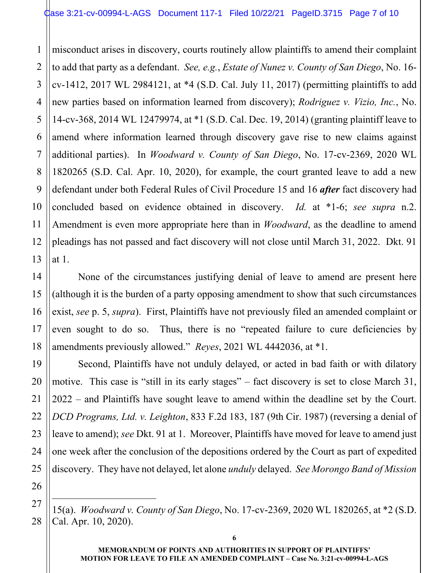1 2 3 misconduct arises in discovery, courts routinely allow plaintiffs to amend their complaint to add that party as a defendant. *See, e.g.*, *Estate of Nunez v. County of San Diego*, No. 16 cv-1412, 2017 WL 2984121, at \*4 (S.D. Cal. July 11, 2017) (permitting plaintiffs to add new parties based on information learned from discovery); *Rodriguez v. Vizio, Inc.*, No. 14-cv-368, 2014 WL 12479974, at \*1 (S.D. Cal. Dec. 19, 2014) (granting plaintiff leave to amend where information learned through discovery gave rise to new claims against additional parties).In *Woodward v. County of San Diego*, No. 17-cv-2369, 2020 WL 1820265 (S.D. Cal. Apr. 10, 2020), for example, the court granted leave to add a new defendant under both Federal Rules of Civil Procedure 15 and 16 *after* fact discovery had concluded based on evidence obtained in discovery. *Id.* at \*1-6; *see supra* n.2. Amendment is even more appropriate here than in *Woodward*, as the deadline to amend pleadings has not passed and fact discovery will not close until March 31, 2022. Dkt. 91 at 1.

 None of the circumstances justifying denial of leave to amend are present here (although it is the burden of a party opposing amendment to show that such circumstances exist, *see* p. 5, *supra*). First, Plaintiffs have not previously filed an amended complaint or even sought to do so. Thus, there is no "repeated failure to cure deficiencies by amendments previously allowed." *Reyes*, 2021 WL 4442036, at \*1.

 Second, Plaintiffs have not unduly delayed, or acted in bad faith or with dilatory motive. This case is "still in its early stages" – fact discovery is set to close March 31, 2022 – and Plaintiffs have sought leave to amend within the deadline set by the Court. *DCD Programs, Ltd. v. Leighton*, 833 F.2d 183, 187 (9th Cir. 1987) (reversing a denial of leave to amend); *see* Dkt. 91 at 1. Moreover, Plaintiffs have moved for leave to amend just one week after the conclusion of the depositions ordered by the Court as part of expedited discovery. They have not delayed, let alone *unduly* delayed. *See Morongo Band of Mission* 

15(a). *Woodward v. County of San Diego*, No. 17-cv-2369, 2020 WL 1820265, at \*2 (S.D. Cal. Apr. 10, 2020).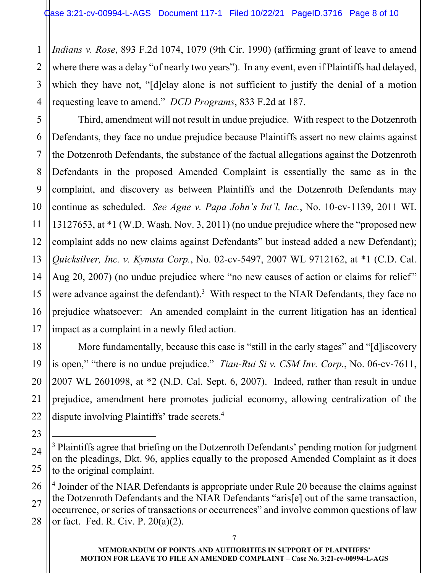1 *Indians v. Rose*, 893 F.2d 1074, 1079 (9th Cir. 1990) (affirming grant of leave to amend where there was a delay "of nearly two years"). In any event, even if Plaintiffs had delayed, which they have not, "[d]elay alone is not sufficient to justify the denial of a motion requesting leave to amend." *DCD Programs*, 833 F.2d at 187.

 Third, amendment will not result in undue prejudice. With respect to the Dotzenroth Defendants, they face no undue prejudice because Plaintiffs assert no new claims against the Dotzenroth Defendants, the substance of the factual allegations against the Dotzenroth Defendants in the proposed Amended Complaint is essentially the same as in the complaint, and discovery as between Plaintiffs and the Dotzenroth Defendants may continue as scheduled. *See Agne v. Papa John's Int'l, Inc.*, No. 10-cv-1139, 2011 WL 13127653, at \*1 (W.D. Wash. Nov. 3, 2011) (no undue prejudice where the "proposed new complaint adds no new claims against Defendants" but instead added a new Defendant); *Quicksilver, Inc. v. Kymsta Corp.*, No. 02-cv-5497, 2007 WL 9712162, at \*1 (C.D. Cal. Aug 20, 2007) (no undue prejudice where "no new causes of action or claims for relief" were advance against the defendant).<sup>3</sup> With respect to the NIAR Defendants, they face no prejudice whatsoever: An amended complaint in the current litigation has an identical impact as a complaint in a newly filed action.

 More fundamentally, because this case is "still in the early stages" and "[d]iscovery is open," "there is no undue prejudice." *Tian-Rui Si v. CSM Inv. Corp.*, No. 06-cv-7611, 2007 WL 2601098, at \*2 (N.D. Cal. Sept. 6, 2007). Indeed, rather than result in undue prejudice, amendment here promotes judicial economy, allowing centralization of the dispute involving Plaintiffs' trade secrets.<sup>4</sup>

<sup>&</sup>lt;sup>3</sup> Plaintiffs agree that briefing on the Dotzenroth Defendants' pending motion for judgment on the pleadings, Dkt. 96, applies equally to the proposed Amended Complaint as it does to the original complaint.

<sup>&</sup>lt;sup>4</sup> Joinder of the NIAR Defendants is appropriate under Rule 20 because the claims against the Dotzenroth Defendants and the NIAR Defendants "aris[e] out of the same transaction, occurrence, or series of transactions or occurrences" and involve common questions of law or fact. Fed. R. Civ. P. 20(a)(2).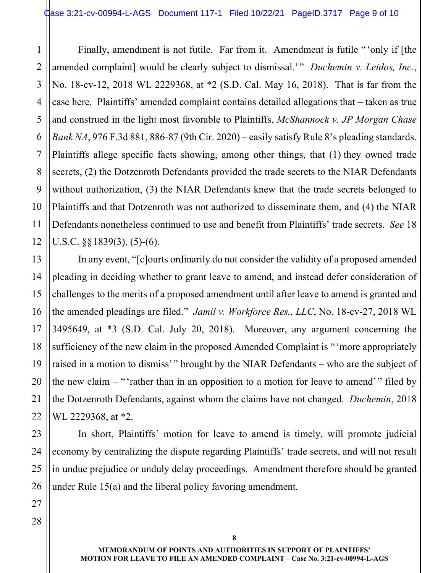4 5 6 8 9 10 12 Finally, amendment is not futile. Far from it. Amendment is futile "'only if [the amended complaint] would be clearly subject to dismissal.'" *Duchemin v. Leidos, Inc.*, No. 18-cv-12, 2018 WL 2229368, at \*2 (S.D. Cal. May 16, 2018). That is far from the case here. Plaintiffs' amended complaint contains detailed allegations that – taken as true and construed in the light most favorable to Plaintiffs, *McShannock v. JP Morgan Chase Bank NA*, 976 F.3d 881, 886-87 (9th Cir. 2020) – easily satisfy Rule 8's pleading standards. Plaintiffs allege specific facts showing, among other things, that (1) they owned trade secrets, (2) the Dotzenroth Defendants provided the trade secrets to the NIAR Defendants without authorization, (3) the NIAR Defendants knew that the trade secrets belonged to Plaintiffs and that Dotzenroth was not authorized to disseminate them, and (4) the NIAR Defendants nonetheless continued to use and benefit from Plaintiffs' trade secrets. *See* 18 U.S.C.  $\S$ §1839(3), (5)-(6).

 In any event, "[c]ourts ordinarily do not consider the validity of a proposed amended pleading in deciding whether to grant leave to amend, and instead defer consideration of challenges to the merits of a proposed amendment until after leave to amend is granted and the amended pleadings are filed." *Jamil v. Workforce Res., LLC*, No. 18-cv-27, 2018 WL 3495649, at \*3 (S.D. Cal. July 20, 2018). Moreover, any argument concerning the sufficiency of the new claim in the proposed Amended Complaint is "'more appropriately raised in a motion to dismiss'" brought by the NIAR Defendants – who are the subject of the new claim  $-$  "'rather than in an opposition to a motion for leave to amend'" filed by the Dotzenroth Defendants, against whom the claims have not changed. *Duchemin*, 2018 WL 2229368, at \*2.

 In short, Plaintiffs' motion for leave to amend is timely, will promote judicial economy by centralizing the dispute regarding Plaintiffs' trade secrets, and will not result in undue prejudice or unduly delay proceedings. Amendment therefore should be granted under Rule 15(a) and the liberal policy favoring amendment.

1

2

3

7

11

13

14

15

16

17

18